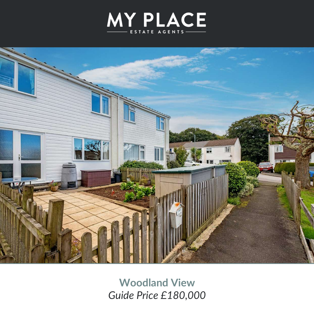



**Woodland View** *Guide Price £180,000*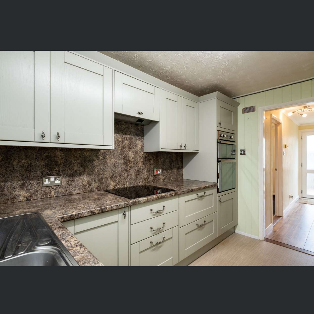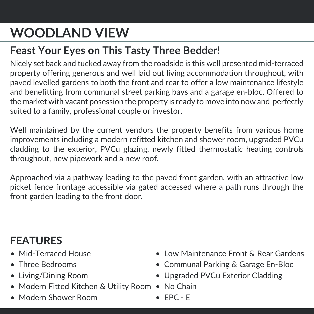## **WOODLAND VIEW**

## **Feast Your Eyes on This Tasty Three Bedder!**

Nicely set back and tucked away from the roadside is this well presented mid‐terraced property offering generous and well laid out living accommodation throughout, with paved levelled gardens to both the front and rear to offer a low maintenance lifestyle and benefitting from communal street parking bays and a garage en‐bloc. Offered to the market with vacant posession the property is ready to move into now and perfectly suited to a family, professional couple or investor.

Well maintained by the current vendors the property benefits from various home improvements including a modern refitted kitchen and shower room, upgraded PVCu cladding to the exterior, PVCu glazing, newly fitted thermostatic heating controls throughout, new pipework and a new roof.

Approached via a pathway leading to the paved front garden, with an attractive low picket fence frontage accessible via gated accessed where a path runs through the front garden leading to the front door.

## **FEATURES**

- Mid‐Terraced House
- Three Bedrooms
- Living/Dining Room
- Modern Fitted Kitchen & Utility Room No Chain
- Modern Shower Room
- Low Maintenance Front & Rear Gardens
- Communal Parking & Garage En‐Bloc
- Upgraded PVCu Exterior Cladding
- 
- $\bullet$  FPC F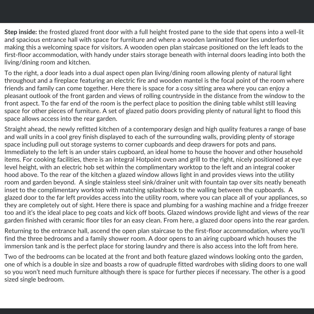**Step inside:** the frosted glazed front door with a full height frosted pane to the side that opens into a well‐lit and spacious entrance hall with space for furniture and where a wooden laminated floor lies underfoot making this a welcoming space for visitors. A wooden open plan staircase positioned on the left leads to the first-floor accommodation, with handy under stairs storage beneath with internal doors leading into both the living/dining room and kitchen.

To the right, a door leads into a dual aspect open plan living/dining room allowing plenty of natural light throughout and a fireplace featuring an electric fire and wooden mantel is the focal point of the room where friends and family can come together. Here there is space for a cosy sitting area where you can enjoy a pleasant outlook of the front garden and views of rolling countryside in the distance from the window to the front aspect. To the far end of the room is the perfect place to position the dining table whilst still leaving space for other pieces of furniture. A set of glazed patio doors providing plenty of natural light to flood this space allows access into the rear garden.

Straight ahead, the newly refitted kitchen of a contemporary design and high quality features a range of base and wall units in a cool grey finish displayed to each of the surrounding walls, providing plenty of storage space including pull out storage systems to corner cupboards and deep drawers for pots and pans. Immediately to the left is an under stairs cupboard, an ideal home to house the hoover and other household items. For cooking facilities, there is an integral Hotpoint oven and grill to the right, nicely positioned at eye level height, with an electric hob set within the complimentary worktop to the left and an integral cooker hood above. To the rear of the kitchen a glazed window allows light in and provides views into the utility room and garden beyond. A single stainless steel sink/drainer unit with fountain tap over sits neatly beneath inset to the complimentary worktop with matching splashback to the walling between the cupboards. A glazed door to the far left provides access into the utility room, where you can place all of your appliances, so they are completely out of sight. Here there is space and plumbing for a washing machine and a fridge freezer too and it's the ideal place to peg coats and kick off boots. Glazed windows provide light and views of the rear garden finished with ceramic floor tiles for an easy clean. From here, a glazed door opens into the rear garden.

Returning to the entrance hall, ascend the open plan staircase to the first-floor accommodation, where you'll find the three bedrooms and a family shower room. A door opens to an airing cupboard which houses the immersion tank and is the perfect place for storing laundry and there is also access into the loft from here.

Two of the bedrooms can be located at the front and both feature glazed windows looking onto the garden, one of which is a double in size and boasts a row of quadruple fitted wardrobes with sliding doors to one wall so you won't need much furniture although there is space for further pieces if necessary. The other is a good sized single bedroom.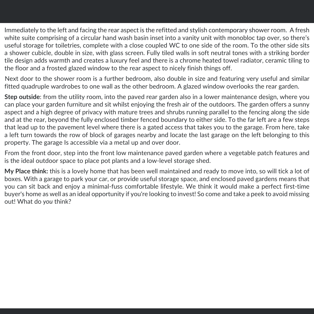Immediately to the left and facing the rear aspect is the refitted and stylish contemporary shower room. A fresh white suite comprising of a circular hand wash basin inset into a vanity unit with monobloc tap over, so there's useful storage for toiletries, complete with a close coupled WC to one side of the room. To the other side sits a shower cubicle, double in size, with glass screen. Fully tiled walls in soft neutral tones with a striking border tile design adds warmth and creates a luxury feel and there is a chrome heated towel radiator, ceramic tiling to the floor and a frosted glazed window to the rear aspect to nicely finish things off.

Next door to the shower room is a further bedroom, also double in size and featuring very useful and similar fitted quadruple wardrobes to one wall as the other bedroom. A glazed window overlooks the rear garden.

**Step outside**: from the utility room, into the paved rear garden also in a lower maintenance design, where you can place your garden furniture and sit whilst enjoying the fresh air of the outdoors. The garden offers a sunny aspect and a high degree of privacy with mature trees and shrubs running parallel to the fencing along the side and at the rear, beyond the fully enclosed timber fenced boundary to either side. To the far left are a few steps that lead up to the pavement level where there is a gated access that takes you to the garage. From here, take a left turn towards the row of block of garages nearby and locate the last garage on the left belonging to this property. The garage Is accessible via a metal up and over door.

From the front door, step into the front low maintenance paved garden where a vegetable patch features and is the ideal outdoor space to place pot plants and a low‐level storage shed.

**My Place think:** this is a lovely home that has been well maintained and ready to move into, so will tick a lot of boxes. With a garage to park your car, or provide useful storage space, and enclosed paved gardens means that you can sit back and enjoy a minimal‐fuss comfortable lifestyle. We think it would make a perfect first‐time buyer's home as well as an ideal opportunity if you're looking to invest! So come and take a peek to avoid missing out! What do *you* think?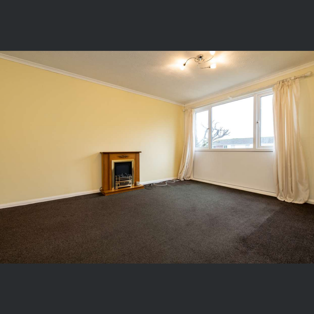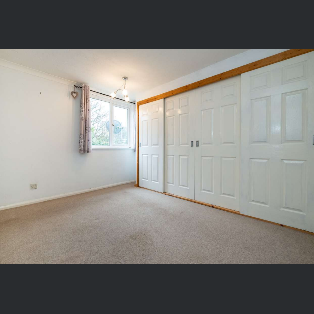